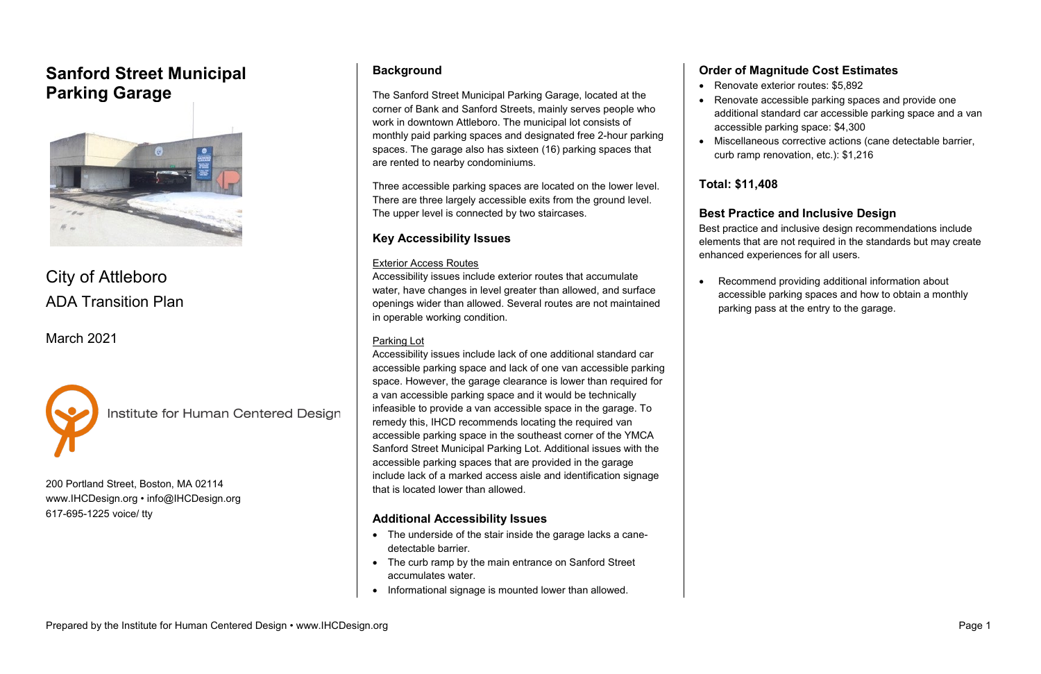# **Sanford Street Municipal Parking Garage**



# City of Attleboro ADA Transition Plan

March 2021



**Institute for Human Centered Design** 

200 Portland Street, Boston, MA 02114 [www.IHCDesign.org](http://www.ihcdesign.org/) • [info@IHCDesign.org](mailto:info@IHCDesign.org) 617-695-1225 voice/ tty

### **Background**

The Sanford Street Municipal Parking Garage, located at the corner of Bank and Sanford Streets, mainly serves people who work in downtown Attleboro. The municipal lot consists of monthly paid parking spaces and designated free 2-hour parking spaces. The garage also has sixteen (16) parking spaces that are rented to nearby condominiums.

Three accessible parking spaces are located on the lower level. There are three largely accessible exits from the ground level. The upper level is connected by two staircases.

### **Key Accessibility Issues**

### Exterior Access Routes

Accessibility issues include exterior routes that accumulate water, have changes in level greater than allowed, and surface openings wider than allowed. Several routes are not maintained in operable working condition.

### Parking Lot

• Renovate exterior routes: \$5,892 • Renovate accessible parking spaces and provide one additional standard car accessible parking space and a van accessible parking space: \$4,300 • Miscellaneous corrective actions (cane detectable barrier, curb ramp renovation, etc.): \$1,216

Accessibility issues include lack of one additional standard car accessible parking space and lack of one van accessible parking space. However, the garage clearance is lower than required for a van accessible parking space and it would be technically infeasible to provide a van accessible space in the garage. To remedy this, IHCD recommends locating the required van accessible parking space in the southeast corner of the YMCA Sanford Street Municipal Parking Lot. Additional issues with the accessible parking spaces that are provided in the garage include lack of a marked access aisle and identification signage that is located lower than allowed.

### **Additional Accessibility Issues**

- The underside of the stair inside the garage lacks a canedetectable barrier.
- The curb ramp by the main entrance on Sanford Street accumulates water.
- Informational signage is mounted lower than allowed.

### **Order of Magnitude Cost Estimates**

- 
- 
- 

### **Total: \$11,408**

### **Best Practice and Inclusive Design**

Best practice and inclusive design recommendations include elements that are not required in the standards but may create enhanced experiences for all users.

• Recommend providing additional information about accessible parking spaces and how to obtain a monthly parking pass at the entry to the garage.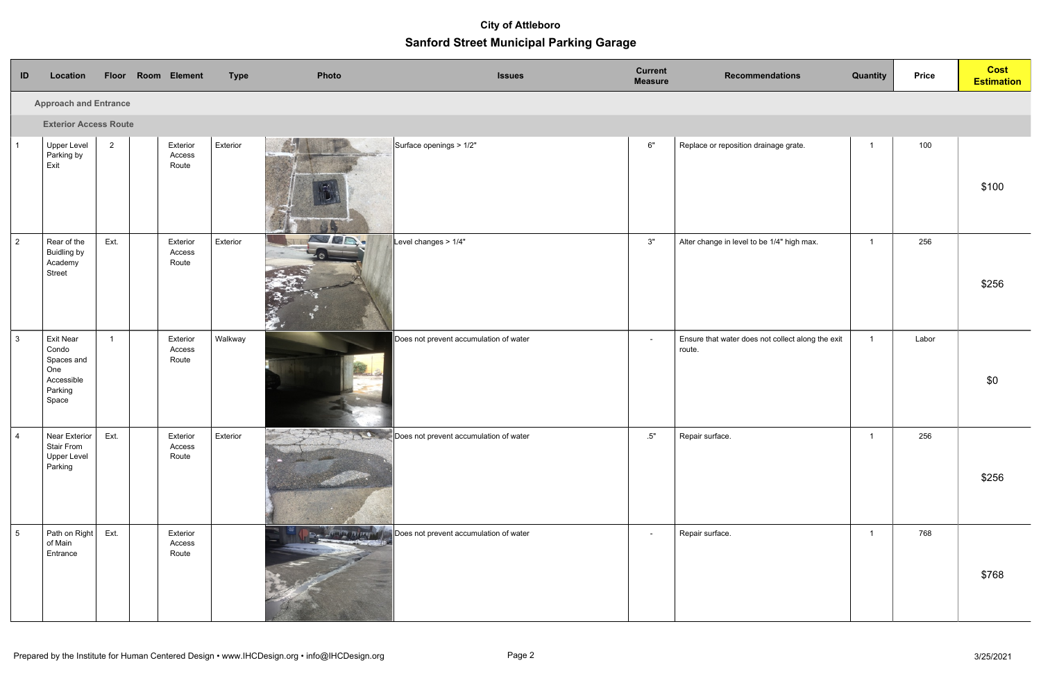| ID                           | Location                                                                         | Floor Room Element |                             | <b>Type</b> | Photo                                  | <b>Issues</b>                          | <b>Current</b><br><b>Measure</b> | <b>Recommendations</b>                                      | <b>Quantity</b> | <b>Price</b> | <b>Cost</b><br><b>Estimation</b> |  |
|------------------------------|----------------------------------------------------------------------------------|--------------------|-----------------------------|-------------|----------------------------------------|----------------------------------------|----------------------------------|-------------------------------------------------------------|-----------------|--------------|----------------------------------|--|
| <b>Approach and Entrance</b> |                                                                                  |                    |                             |             |                                        |                                        |                                  |                                                             |                 |              |                                  |  |
|                              | <b>Exterior Access Route</b>                                                     |                    |                             |             |                                        |                                        |                                  |                                                             |                 |              |                                  |  |
|                              | <b>Upper Level</b><br>Parking by<br>Exit                                         | $2^{\circ}$        | Exterior<br>Access<br>Route | Exterior    | 4.9                                    | Surface openings > 1/2"                | 6"                               | Replace or reposition drainage grate.                       | $\overline{1}$  | 100          | \$100                            |  |
| $\vert$ 2                    | Rear of the<br><b>Buidling by</b><br>Academy<br>Street                           | Ext.               | Exterior<br>Access<br>Route | Exterior    | <b>UR.</b>                             | Level changes > 1/4"                   | 3"                               | Alter change in level to be 1/4" high max.                  | $\overline{1}$  | 256          | \$256                            |  |
| $\vert$ 3                    | <b>Exit Near</b><br>Condo<br>Spaces and<br>One<br>Accessible<br>Parking<br>Space | $\overline{1}$     | Exterior<br>Access<br>Route | Walkway     |                                        | Does not prevent accumulation of water | $\sim$                           | Ensure that water does not collect along the exit<br>route. | $\mathbf{1}$    | Labor        | \$0                              |  |
| $\Lambda$                    | Near Exterior $\vert$<br><b>Stair From</b><br><b>Upper Level</b><br>Parking      | Ext.               | Exterior<br>Access<br>Route | Exterior    | Does not prevent accumulation of water |                                        | .5"                              | Repair surface.                                             | $1 -$           | 256          | \$256                            |  |
| 5                            | Path on Right<br>of Main<br>Entrance                                             | Ext.               | Exterior<br>Access<br>Route |             | <b>COLD ATTACK</b>                     | Does not prevent accumulation of water | $\sim$                           | Repair surface.                                             | $\mathbf{1}$    | 768          | \$768                            |  |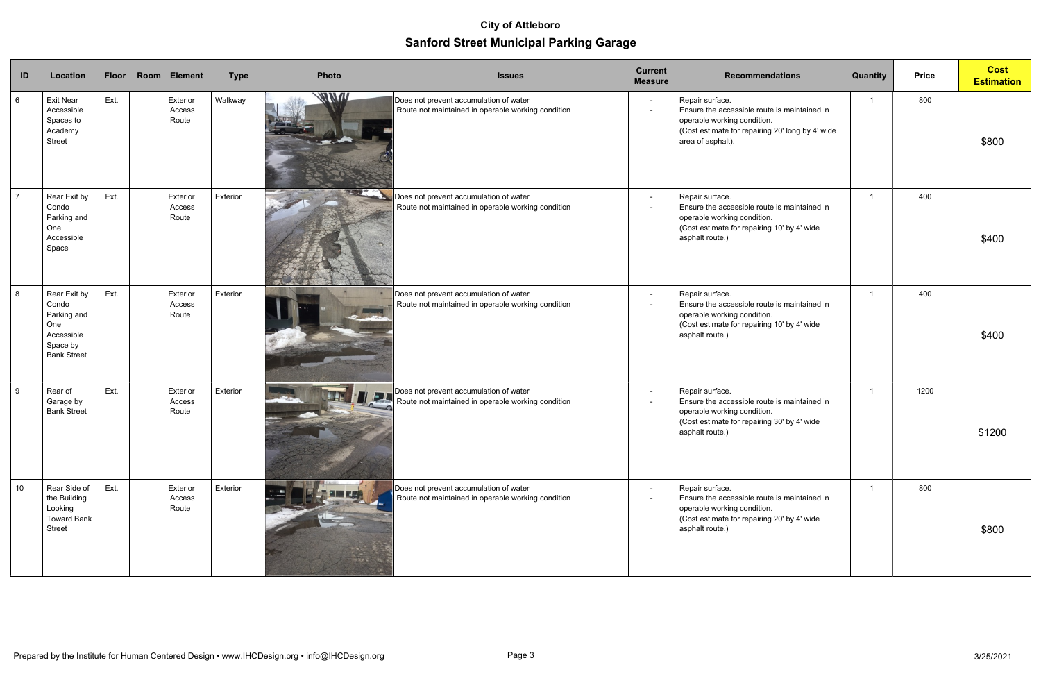| ID              | Location                                                                                    | <b>Floor</b> | Room Element                | <b>Type</b> | Photo | <b>Issues</b>                                                                                | <b>Current</b><br><b>Measure</b> | <b>Recommendations</b>                                                                                                                                                  | Quantity | <b>Price</b> | <b>Cost</b><br><b>Estimation</b> |
|-----------------|---------------------------------------------------------------------------------------------|--------------|-----------------------------|-------------|-------|----------------------------------------------------------------------------------------------|----------------------------------|-------------------------------------------------------------------------------------------------------------------------------------------------------------------------|----------|--------------|----------------------------------|
| $6\phantom{.}6$ | <b>Exit Near</b><br>Accessible<br>Spaces to<br>Academy<br>Street                            | Ext.         | Exterior<br>Access<br>Route | Walkway     | WNW   | Does not prevent accumulation of water<br>Route not maintained in operable working condition | $\blacksquare$                   | Repair surface.<br>Ensure the accessible route is maintained in<br>operable working condition.<br>(Cost estimate for repairing 20' long by 4' wide<br>area of asphalt). |          | 800          | \$800                            |
| $\overline{7}$  | Rear Exit by<br>Condo<br>Parking and<br>One<br>Accessible<br>Space                          | Ext.         | Exterior<br>Access<br>Route | Exterior    |       | Does not prevent accumulation of water<br>Route not maintained in operable working condition | $\blacksquare$                   | Repair surface.<br>Ensure the accessible route is maintained in<br>operable working condition.<br>(Cost estimate for repairing 10' by 4' wide<br>asphalt route.)        |          | 400          | \$400                            |
| 8               | Rear Exit by<br>Condo<br>Parking and<br>One<br>Accessible<br>Space by<br><b>Bank Street</b> | Ext.         | Exterior<br>Access<br>Route | Exterior    |       | Does not prevent accumulation of water<br>Route not maintained in operable working condition | $\blacksquare$                   | Repair surface.<br>Ensure the accessible route is maintained in<br>operable working condition.<br>(Cost estimate for repairing 10' by 4' wide<br>asphalt route.)        |          | 400          | \$400                            |
| 9               | Rear of<br>Garage by<br><b>Bank Street</b>                                                  | Ext.         | Exterior<br>Access<br>Route | Exterior    | II FA | Does not prevent accumulation of water<br>Route not maintained in operable working condition | $\blacksquare$                   | Repair surface.<br>Ensure the accessible route is maintained in<br>operable working condition.<br>(Cost estimate for repairing 30' by 4' wide<br>asphalt route.)        |          | 1200         | \$1200                           |
| 10              | Rear Side of<br>the Building<br>Looking<br><b>Toward Bank</b><br>Street                     | Ext.         | Exterior<br>Access<br>Route | Exterior    |       | Does not prevent accumulation of water<br>Route not maintained in operable working condition |                                  | Repair surface.<br>Ensure the accessible route is maintained in<br>operable working condition.<br>(Cost estimate for repairing 20' by 4' wide<br>asphalt route.)        |          | 800          | \$800                            |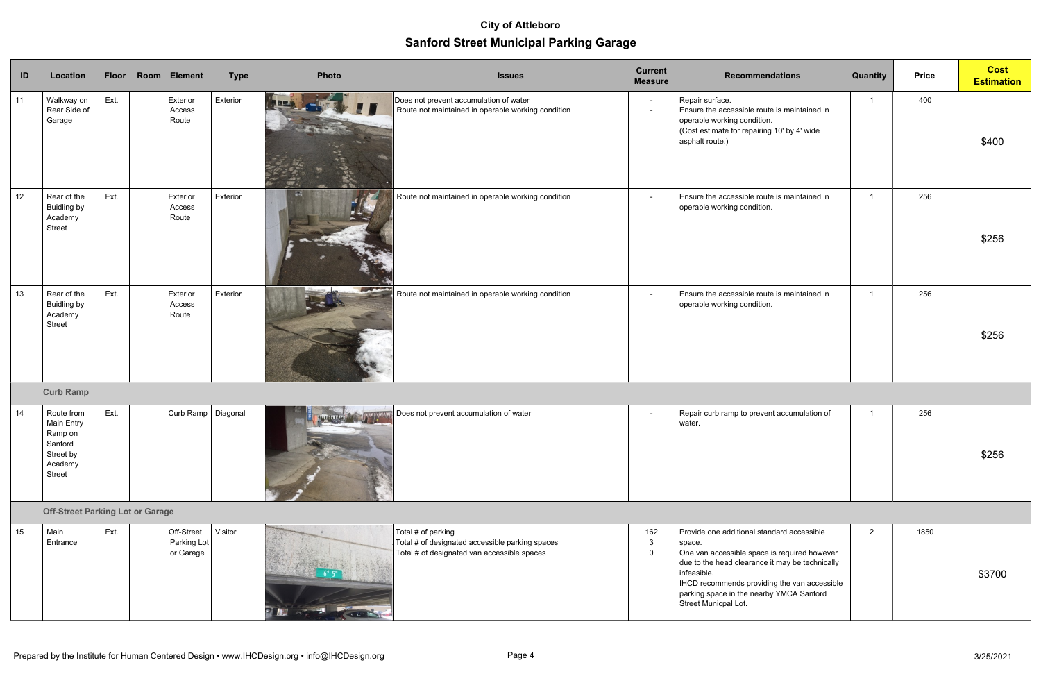| ID | Location                                                                                |      | Floor Room Element                     | <b>Type</b> | Photo                    | <b>Issues</b>                                                                                                        | <b>Current</b><br><b>Measure</b> | <b>Recommendations</b>                                                                                                                                                                                                                                                                     | <b>Quantity</b> | <b>Price</b> | <b>Cost</b><br><b>Estimation</b> |
|----|-----------------------------------------------------------------------------------------|------|----------------------------------------|-------------|--------------------------|----------------------------------------------------------------------------------------------------------------------|----------------------------------|--------------------------------------------------------------------------------------------------------------------------------------------------------------------------------------------------------------------------------------------------------------------------------------------|-----------------|--------------|----------------------------------|
| 11 | Walkway on<br>Rear Side of<br>Garage                                                    | Ext. | Exterior<br>Access<br>Route            | Exterior    |                          | Does not prevent accumulation of water<br>Route not maintained in operable working condition                         | $\blacksquare$<br>$\blacksquare$ | Repair surface.<br>Ensure the accessible route is maintained in<br>operable working condition.<br>(Cost estimate for repairing 10' by 4' wide<br>asphalt route.)                                                                                                                           |                 | 400          | \$400                            |
| 12 | Rear of the<br><b>Buidling by</b><br>Academy<br>Street                                  | Ext. | Exterior<br>Access<br>Route            | Exterior    |                          | Route not maintained in operable working condition                                                                   | $\blacksquare$                   | Ensure the accessible route is maintained in<br>operable working condition.                                                                                                                                                                                                                |                 | 256          | \$256                            |
| 13 | Rear of the<br><b>Buidling by</b><br>Academy<br>Street                                  | Ext. | Exterior<br>Access<br>Route            | Exterior    | <b>Contract Contract</b> | Route not maintained in operable working condition                                                                   | $\sim$                           | Ensure the accessible route is maintained in<br>operable working condition.                                                                                                                                                                                                                |                 | 256          | \$256                            |
|    | <b>Curb Ramp</b>                                                                        |      |                                        |             |                          |                                                                                                                      |                                  |                                                                                                                                                                                                                                                                                            |                 |              |                                  |
| 14 | Route from<br><b>Main Entry</b><br>Ramp on<br>Sanford<br>Street by<br>Academy<br>Street | Ext. | Curb Ramp   Diagonal                   |             |                          | Does not prevent accumulation of water                                                                               | $\blacksquare$                   | Repair curb ramp to prevent accumulation of<br>water.                                                                                                                                                                                                                                      | -1              | 256          | \$256                            |
|    | <b>Off-Street Parking Lot or Garage</b>                                                 |      |                                        |             |                          |                                                                                                                      |                                  |                                                                                                                                                                                                                                                                                            |                 |              |                                  |
| 15 | Main<br>Entrance                                                                        | Ext. | Off-Street<br>Parking Lot<br>or Garage | Visitor     | 建型                       | Total # of parking<br>Total # of designated accessible parking spaces<br>Total # of designated van accessible spaces | 162<br>$\mathbf{3}$<br>$\Omega$  | Provide one additional standard accessible<br>space.<br>One van accessible space is required however<br>due to the head clearance it may be technically<br>infeasible.<br>IHCD recommends providing the van accessible<br>parking space in the nearby YMCA Sanford<br>Street Municpal Lot. | $2^{\circ}$     | 1850         | \$3700                           |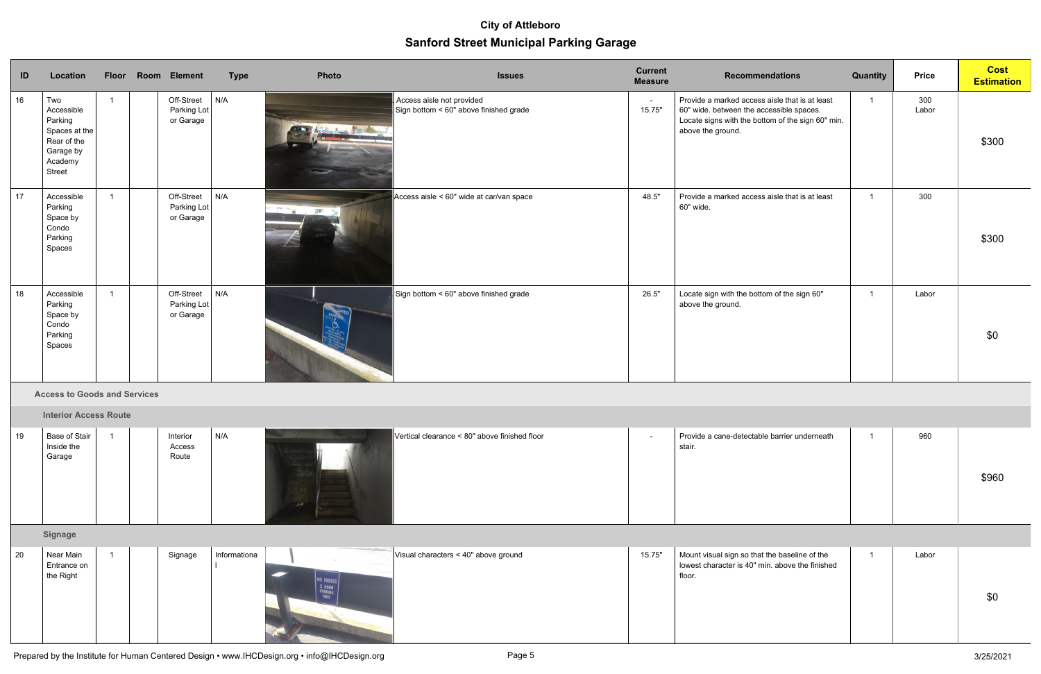| ID | Location                                                                                              |                | Floor Room Element                     | <b>Type</b> | Photo                      | <b>Issues</b>                                                       | <b>Current</b><br><b>Measure</b> | <b>Recommendations</b>                                                                                                                                               | <b>Quantity</b> | <b>Price</b> | <b>Cost</b><br><b>Estimation</b> |
|----|-------------------------------------------------------------------------------------------------------|----------------|----------------------------------------|-------------|----------------------------|---------------------------------------------------------------------|----------------------------------|----------------------------------------------------------------------------------------------------------------------------------------------------------------------|-----------------|--------------|----------------------------------|
| 16 | Two<br>Accessible<br>Parking<br>Spaces at the<br>Rear of the<br>Garage by<br>Academy<br><b>Street</b> |                | Off-Street<br>Parking Lot<br>or Garage | N/A         |                            | Access aisle not provided<br>Sign bottom < 60" above finished grade | $\sim$<br>15.75"                 | Provide a marked access aisle that is at least<br>60" wide. between the accessible spaces.<br>Locate signs with the bottom of the sign 60" min.<br>above the ground. | $\overline{1}$  | 300<br>Labor | \$300                            |
| 17 | Accessible<br>Parking<br>Space by<br>Condo<br>Parking<br>Spaces                                       | $\overline{1}$ | Off-Street<br>Parking Lot<br>or Garage | N/A         | <b>Film</b><br><b>ISMO</b> | Access aisle < 60" wide at car/van space                            | 48.5"                            | Provide a marked access aisle that is at least<br>60" wide.                                                                                                          |                 | 300          | \$300                            |
| 18 | Accessible<br>Parking<br>Space by<br>Condo<br>Parking<br>Spaces                                       | $\overline{1}$ | Off-Street<br>Parking Lot<br>or Garage | N/A         |                            | $\mid$ Sign bottom < 60" above finished grade                       | 26.5"                            | Locate sign with the bottom of the sign 60"<br>above the ground.                                                                                                     |                 | Labor        | \$0                              |

**B. Access to Goods and Services**

**Interior Access Route** 

| 19 | Base of Stair<br>Inside the<br>Garage | Interior<br>Access<br>Route | N/A | $\blacksquare$ Vertical clearance < 80" above finished floor | Provide a cane-detectable barrier underneath<br>stair. | 960 | \$960 |
|----|---------------------------------------|-----------------------------|-----|--------------------------------------------------------------|--------------------------------------------------------|-----|-------|
|    |                                       |                             |     |                                                              |                                                        |     |       |

**H. Signage**

| 20 | Near Main                |  | Signage | Informationa | Visual characters < 40" above ground | 15.75" | Mount visual sign so that the baseline of the   | Labor |     |
|----|--------------------------|--|---------|--------------|--------------------------------------|--------|-------------------------------------------------|-------|-----|
|    | Entrance on<br>the Right |  |         |              |                                      |        | lowest character is 40" min. above the finished |       |     |
|    |                          |  |         |              |                                      |        | floor.                                          |       | \$0 |